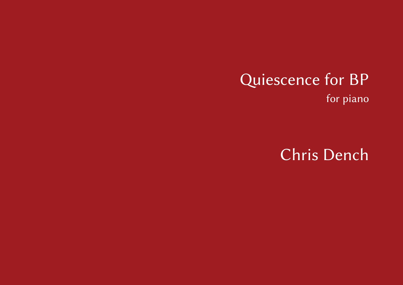# Quiescence for BP for piano

Chris Dench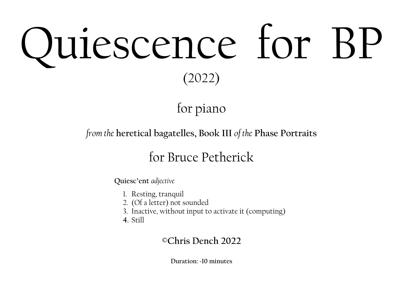# Quiescence for BP (2022)

## for piano

*from the* **heretical bagatelles, Book III** *of the* **Phase Portraits**

### for Bruce Petherick

**Quiesc'ent** *adjective*

- 1. Resting, tranquil
- 2. (Of a letter) not sounded
- 3. Inactive, without input to activate it (computing)
- **4.** Still

#### **©Chris Dench 2022**

**Duration: ~10 minutes**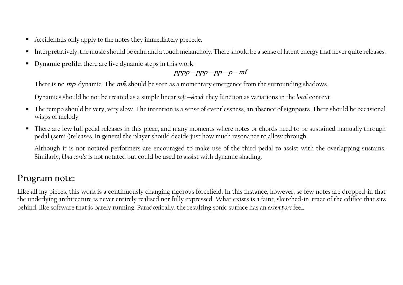- Accidentals only apply to the notes they immediately precede.
- Interpretatively, the music should be calm and a touch melancholy. There should be a sense of latent energy that never quite releases.
- **Dynamic profile**: there are five dynamic steps in this work:

$$
pppp\text{-}pp\text{-}pp\text{-}pp\text{-}p\text{-}mf
$$

There is no **mp** dynamic. The **mf**s should be seen as a momentary emergence from the surrounding shadows.

Dynamics should be not be treated as a simple linear *soft*→*loud*: they function as variations in the *local* context.

- The tempo should be very, very slow. The intention is a sense of eventlessness, an absence of signposts. There should be occasional wisps of melody.
- There are few full pedal releases in this piece, and many moments where notes or chords need to be sustained manually through pedal (semi-)releases. In general the player should decide just how much resonance to allow through.

Although it is not notated performers are encouraged to make use of the third pedal to assist with the overlapping sustains. Similarly, *Una corda* is not notated but could be used to assist with dynamic shading.

#### **Program note:**

Like all my pieces, this work is a continuously changing rigorous forcefield. In this instance, however, so few notes are dropped-in that the underlying architecture is never entirely realised nor fully expressed. What exists is a faint, sketched-in, trace of the edifice that sits behind, like software that is barely running. Paradoxically, the resulting sonic surface has an *extempore* feel.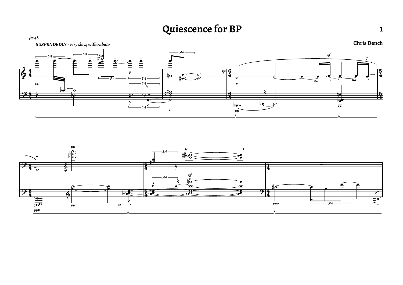#### Quiescence for BP



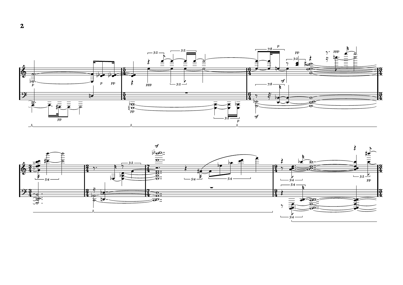

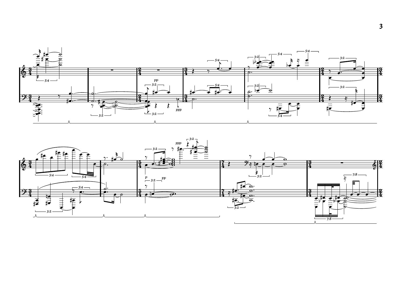

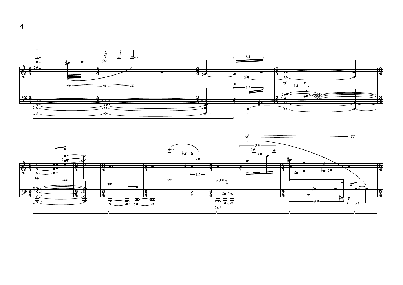

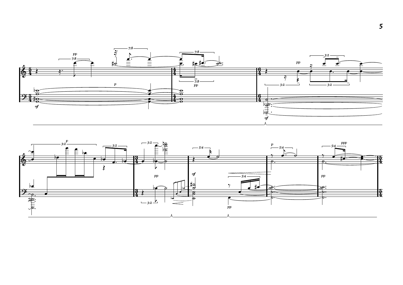

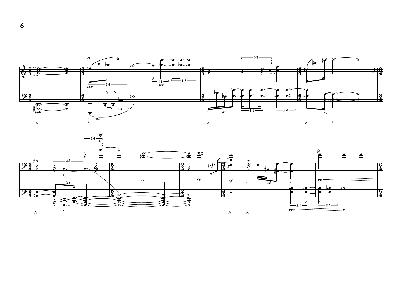

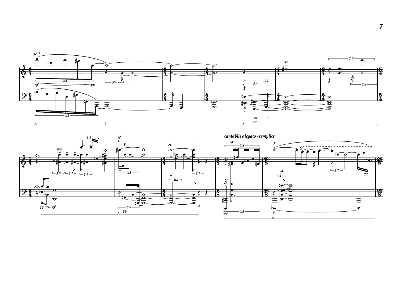

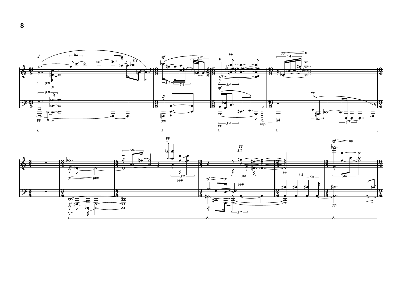

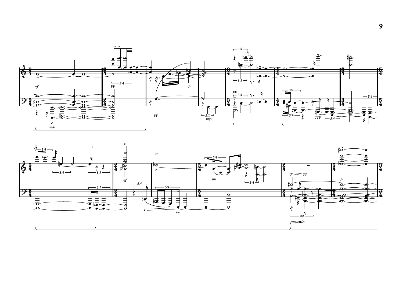

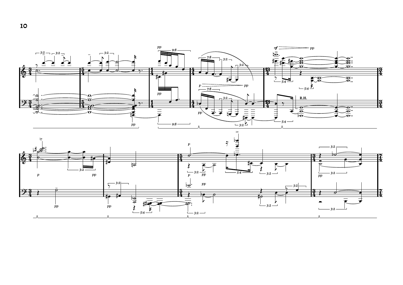

 $-$  3:2  $-$ 

 $\bar{\bar{\epsilon}}$ 

*3:2*

 $pp$ 

 $pp$ 

# # ÏÏ

*5:4*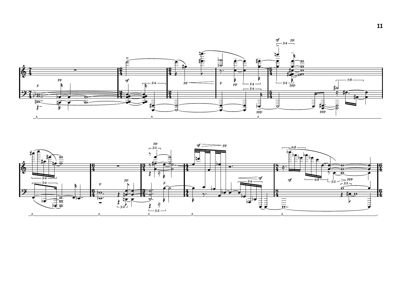

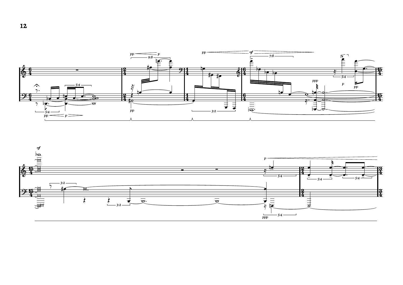

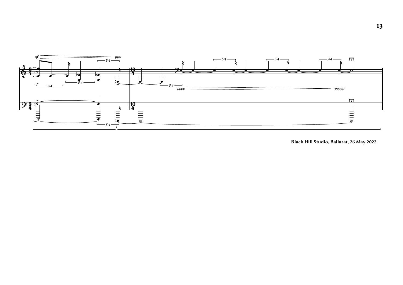

Black Hill Studio, Ballarat, 26 May 2022